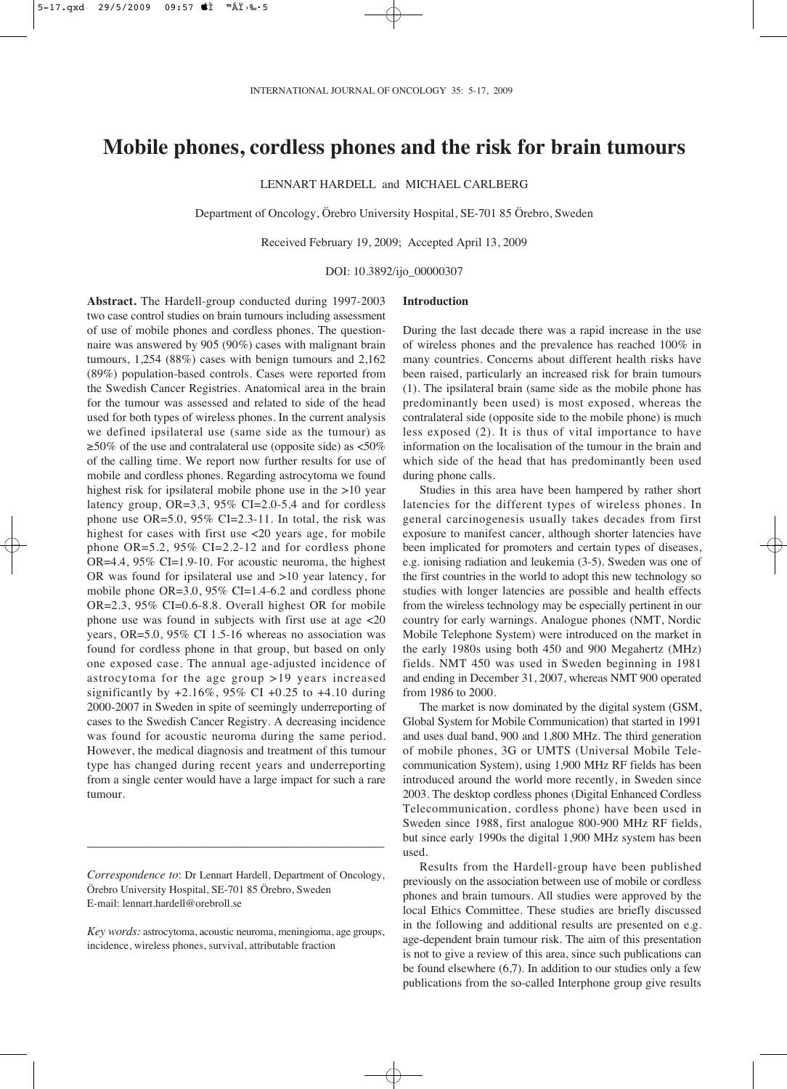# **Mobile phones, cordless phones and the risk for brain tumours**

LENNART HARDELL and MICHAEL CARLBERG

Department of Oncology, Örebro University Hospital, SE-701 85 Örebro, Sweden

Received February 19, 2009; Accepted April 13, 2009

DOI: 10.3892/ijo\_00000307

# **Introduction**

**Abstract.** The Hardell-group conducted during 1997-2003 two case control studies on brain tumours including assessment of use of mobile phones and cordless phones. The questionnaire was answered by 905 (90%) cases with malignant brain tumours, 1,254 (88%) cases with benign tumours and 2,162 (89%) population-based controls. Cases were reported from the Swedish Cancer Registries. Anatomical area in the brain for the tumour was assessed and related to side of the head used for both types of wireless phones. In the current analysis we defined ipsilateral use (same side as the tumour) as  $\geq$ 50% of the use and contralateral use (opposite side) as <50% of the calling time. We report now further results for use of mobile and cordless phones. Regarding astrocytoma we found highest risk for ipsilateral mobile phone use in the >10 year latency group, OR=3.3, 95% CI=2.0-5.4 and for cordless phone use  $OR=5.0$ , 95%  $CI=2.3-11$ . In total, the risk was highest for cases with first use  $\langle 20 \rangle$  years age, for mobile phone OR=5.2, 95% CI=2.2-12 and for cordless phone OR=4.4, 95% CI=1.9-10. For acoustic neuroma, the highest OR was found for ipsilateral use and >10 year latency, for mobile phone OR=3.0, 95% CI=1.4-6.2 and cordless phone OR=2.3, 95% CI=0.6-8.8. Overall highest OR for mobile phone use was found in subjects with first use at age <20 years, OR=5.0, 95% CI 1.5-16 whereas no association was found for cordless phone in that group, but based on only one exposed case. The annual age-adjusted incidence of astrocytoma for the age group >19 years increased significantly by +2.16%, 95% CI +0.25 to +4.10 during 2000-2007 in Sweden in spite of seemingly underreporting of cases to the Swedish Cancer Registry. A decreasing incidence was found for acoustic neuroma during the same period. However, the medical diagnosis and treatment of this tumour type has changed during recent years and underreporting from a single center would have a large impact for such a rare tumour.

\_\_\_\_\_\_\_\_\_\_\_\_\_\_\_\_\_\_\_\_\_\_\_\_\_\_\_\_\_\_\_\_\_\_\_\_\_\_\_\_\_

During the last decade there was a rapid increase in the use of wireless phones and the prevalence has reached 100% in many countries. Concerns about different health risks have been raised, particularly an increased risk for brain tumours (1). The ipsilateral brain (same side as the mobile phone has predominantly been used) is most exposed, whereas the contralateral side (opposite side to the mobile phone) is much less exposed (2). It is thus of vital importance to have information on the localisation of the tumour in the brain and which side of the head that has predominantly been used during phone calls.

Studies in this area have been hampered by rather short latencies for the different types of wireless phones. In general carcinogenesis usually takes decades from first exposure to manifest cancer, although shorter latencies have been implicated for promoters and certain types of diseases, e.g. ionising radiation and leukemia (3-5). Sweden was one of the first countries in the world to adopt this new technology so studies with longer latencies are possible and health effects from the wireless technology may be especially pertinent in our country for early warnings. Analogue phones (NMT, Nordic Mobile Telephone System) were introduced on the market in the early 1980s using both 450 and 900 Megahertz (MHz) fields. NMT 450 was used in Sweden beginning in 1981 and ending in December 31, 2007, whereas NMT 900 operated from 1986 to 2000.

The market is now dominated by the digital system (GSM, Global System for Mobile Communication) that started in 1991 and uses dual band, 900 and 1,800 MHz. The third generation of mobile phones, 3G or UMTS (Universal Mobile Telecommunication System), using 1,900 MHz RF fields has been introduced around the world more recently, in Sweden since 2003. The desktop cordless phones (Digital Enhanced Cordless Telecommunication, cordless phone) have been used in Sweden since 1988, first analogue 800-900 MHz RF fields, but since early 1990s the digital 1,900 MHz system has been used.

Results from the Hardell-group have been published previously on the association between use of mobile or cordless phones and brain tumours. All studies were approved by the local Ethics Committee. These studies are briefly discussed in the following and additional results are presented on e.g. age-dependent brain tumour risk. The aim of this presentation is not to give a review of this area, since such publications can be found elsewhere (6,7). In addition to our studies only a few publications from the so-called Interphone group give results

*Correspondence to*: Dr Lennart Hardell, Department of Oncology, Örebro University Hospital, SE-701 85 Örebro, Sweden E-mail: lennart.hardell@orebroll.se

*Key words:* astrocytoma, acoustic neuroma, meningioma, age groups, incidence, wireless phones, survival, attributable fraction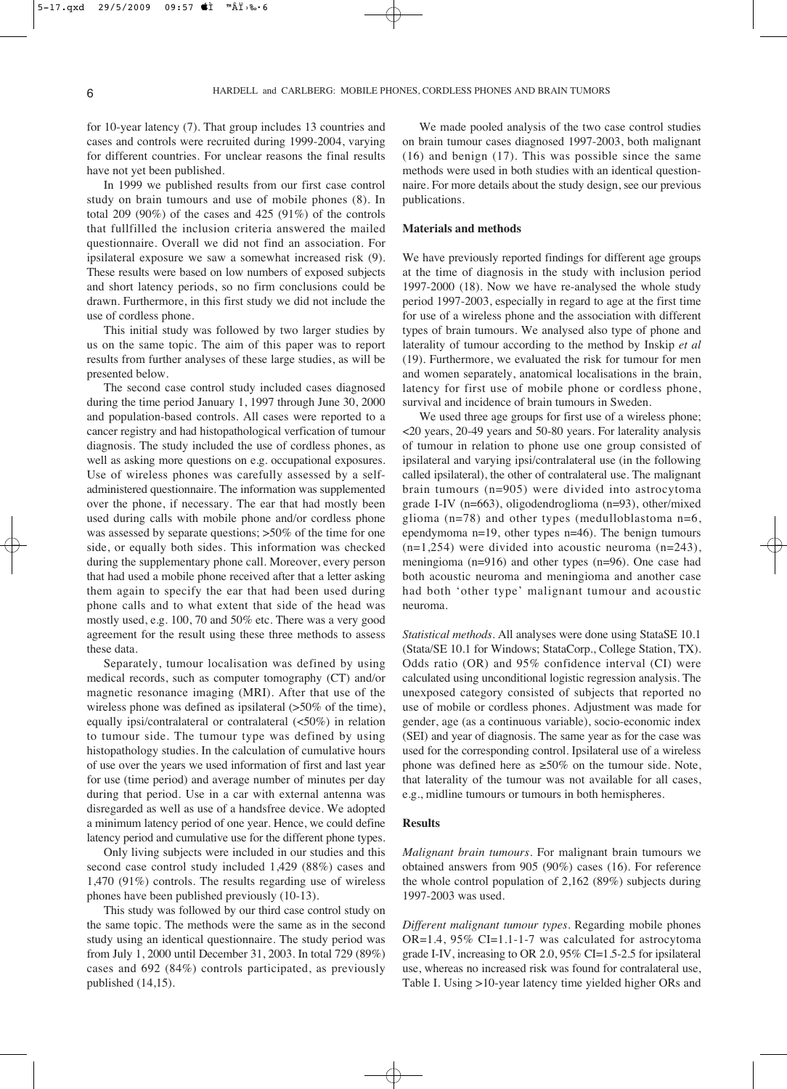for 10-year latency (7). That group includes 13 countries and cases and controls were recruited during 1999-2004, varying for different countries. For unclear reasons the final results have not yet been published.

In 1999 we published results from our first case control study on brain tumours and use of mobile phones (8). In total 209 (90%) of the cases and 425 (91%) of the controls that fullfilled the inclusion criteria answered the mailed questionnaire. Overall we did not find an association. For ipsilateral exposure we saw a somewhat increased risk (9). These results were based on low numbers of exposed subjects and short latency periods, so no firm conclusions could be drawn. Furthermore, in this first study we did not include the use of cordless phone.

This initial study was followed by two larger studies by us on the same topic. The aim of this paper was to report results from further analyses of these large studies, as will be presented below.

The second case control study included cases diagnosed during the time period January 1, 1997 through June 30, 2000 and population-based controls. All cases were reported to a cancer registry and had histopathological verfication of tumour diagnosis. The study included the use of cordless phones, as well as asking more questions on e.g. occupational exposures. Use of wireless phones was carefully assessed by a selfadministered questionnaire. The information was supplemented over the phone, if necessary. The ear that had mostly been used during calls with mobile phone and/or cordless phone was assessed by separate questions;  $>50\%$  of the time for one side, or equally both sides. This information was checked during the supplementary phone call. Moreover, every person that had used a mobile phone received after that a letter asking them again to specify the ear that had been used during phone calls and to what extent that side of the head was mostly used, e.g. 100, 70 and 50% etc. There was a very good agreement for the result using these three methods to assess these data.

Separately, tumour localisation was defined by using medical records, such as computer tomography (CT) and/or magnetic resonance imaging (MRI). After that use of the wireless phone was defined as ipsilateral  $(>50\%$  of the time), equally ipsi/contralateral or contralateral (<50%) in relation to tumour side. The tumour type was defined by using histopathology studies. In the calculation of cumulative hours of use over the years we used information of first and last year for use (time period) and average number of minutes per day during that period. Use in a car with external antenna was disregarded as well as use of a handsfree device. We adopted a minimum latency period of one year. Hence, we could define latency period and cumulative use for the different phone types.

Only living subjects were included in our studies and this second case control study included 1,429 (88%) cases and 1,470 (91%) controls. The results regarding use of wireless phones have been published previously (10-13).

This study was followed by our third case control study on the same topic. The methods were the same as in the second study using an identical questionnaire. The study period was from July 1, 2000 until December 31, 2003. In total 729 (89%) cases and 692 (84%) controls participated, as previously published (14,15).

We made pooled analysis of the two case control studies on brain tumour cases diagnosed 1997-2003, both malignant (16) and benign (17). This was possible since the same methods were used in both studies with an identical questionnaire. For more details about the study design, see our previous publications.

### **Materials and methods**

We have previously reported findings for different age groups at the time of diagnosis in the study with inclusion period 1997-2000 (18). Now we have re-analysed the whole study period 1997-2003, especially in regard to age at the first time for use of a wireless phone and the association with different types of brain tumours. We analysed also type of phone and laterality of tumour according to the method by Inskip *et al* (19). Furthermore, we evaluated the risk for tumour for men and women separately, anatomical localisations in the brain, latency for first use of mobile phone or cordless phone, survival and incidence of brain tumours in Sweden.

We used three age groups for first use of a wireless phone; <20 years, 20-49 years and 50-80 years. For laterality analysis of tumour in relation to phone use one group consisted of ipsilateral and varying ipsi/contralateral use (in the following called ipsilateral), the other of contralateral use. The malignant brain tumours (n=905) were divided into astrocytoma grade I-IV (n=663), oligodendroglioma (n=93), other/mixed glioma (n=78) and other types (medulloblastoma n=6, ependymoma n=19, other types n=46). The benign tumours (n=1,254) were divided into acoustic neuroma (n=243), meningioma (n=916) and other types (n=96). One case had both acoustic neuroma and meningioma and another case had both 'other type' malignant tumour and acoustic neuroma.

*Statistical methods*. All analyses were done using StataSE 10.1 (Stata/SE 10.1 for Windows; StataCorp., College Station, TX). Odds ratio (OR) and 95% confidence interval (CI) were calculated using unconditional logistic regression analysis. The unexposed category consisted of subjects that reported no use of mobile or cordless phones. Adjustment was made for gender, age (as a continuous variable), socio-economic index (SEI) and year of diagnosis. The same year as for the case was used for the corresponding control. Ipsilateral use of a wireless phone was defined here as ≥50% on the tumour side. Note, that laterality of the tumour was not available for all cases, e.g., midline tumours or tumours in both hemispheres.

### **Results**

*Malignant brain tumours*. For malignant brain tumours we obtained answers from 905 (90%) cases (16). For reference the whole control population of 2,162 (89%) subjects during 1997-2003 was used.

*Different malignant tumour types*. Regarding mobile phones OR=1.4, 95% CI=1.1-1-7 was calculated for astrocytoma grade I-IV, increasing to OR 2.0, 95% CI=1.5-2.5 for ipsilateral use, whereas no increased risk was found for contralateral use, Table I. Using >10-year latency time yielded higher ORs and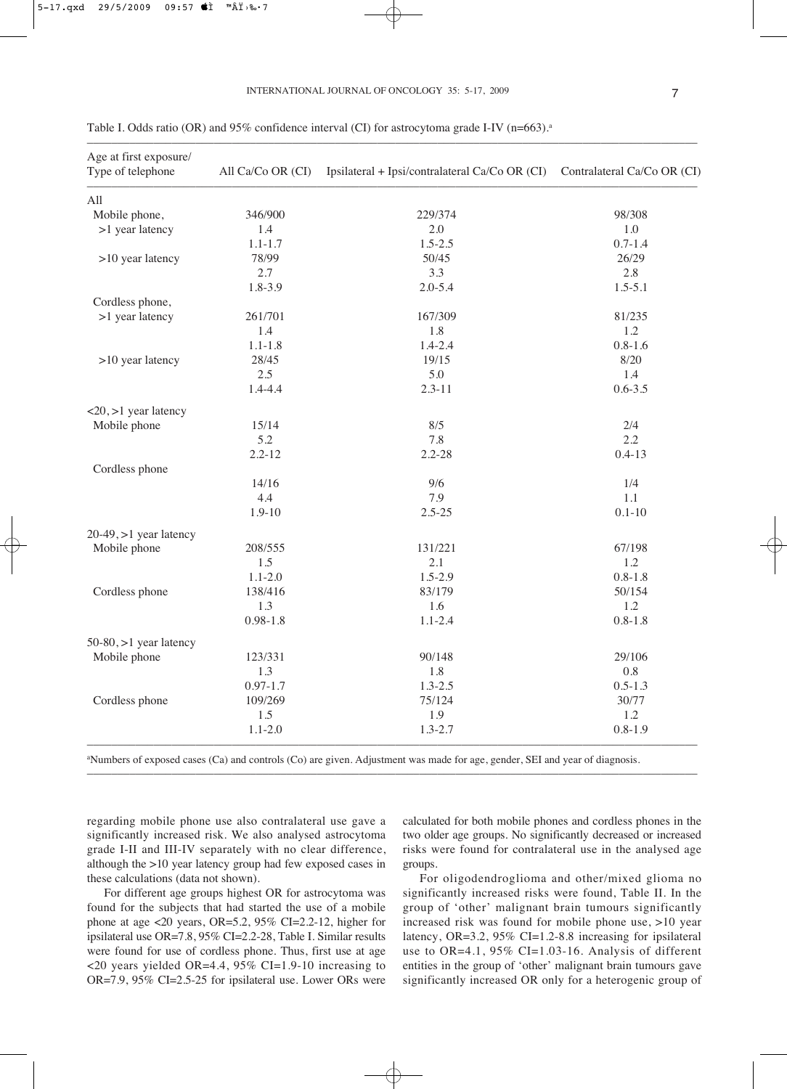| Age at first exposure/<br>Type of telephone | All Ca/Co OR (CI) | Ipsilateral + Ipsi/contralateral Ca/Co OR (CI) | Contralateral Ca/Co OR (CI) |
|---------------------------------------------|-------------------|------------------------------------------------|-----------------------------|
| All                                         |                   |                                                |                             |
| Mobile phone,                               | 346/900           | 229/374                                        | 98/308                      |
| >1 year latency                             | 1.4               | 2.0                                            | $1.0\,$                     |
|                                             | $1.1 - 1.7$       | $1.5 - 2.5$                                    | $0.7 - 1.4$                 |
| >10 year latency                            | 78/99             | 50/45                                          | 26/29                       |
|                                             | 2.7               | 3.3                                            | 2.8                         |
|                                             | 1.8-3.9           | $2.0 - 5.4$                                    | $1.5 - 5.1$                 |
| Cordless phone,                             |                   |                                                |                             |
| >1 year latency                             | 261/701           | 167/309                                        | 81/235                      |
|                                             | 1.4               | 1.8                                            | 1.2                         |
|                                             | $1.1 - 1.8$       | 1.4-2.4                                        | $0.8 - 1.6$                 |
| >10 year latency                            | 28/45             | 19/15                                          | 8/20                        |
|                                             | 2.5               | 5.0                                            | 1.4                         |
|                                             | $1.4 - 4.4$       | $2.3 - 11$                                     | $0.6 - 3.5$                 |
| $<$ 20, >1 year latency                     |                   |                                                |                             |
| Mobile phone                                | 15/14             | 8/5                                            | 2/4                         |
|                                             | 5.2               | 7.8                                            | 2.2                         |
|                                             | $2.2 - 12$        | $2.2 - 28$                                     | $0.4 - 13$                  |
| Cordless phone                              |                   |                                                |                             |
|                                             | 14/16             | 9/6                                            | 1/4                         |
|                                             | 4.4               | 7.9                                            | 1.1                         |
|                                             | $1.9 - 10$        | $2.5 - 25$                                     | $0.1 - 10$                  |
| $20-49$ , $>1$ year latency                 |                   |                                                |                             |
| Mobile phone                                | 208/555           | 131/221                                        | 67/198                      |
|                                             | 1.5               | 2.1                                            | 1.2                         |
|                                             | $1.1 - 2.0$       | $1.5 - 2.9$                                    | $0.8 - 1.8$                 |
| Cordless phone                              | 138/416           | 83/179                                         | 50/154                      |
|                                             | 1.3               | 1.6                                            | 1.2                         |
|                                             | $0.98 - 1.8$      | $1.1 - 2.4$                                    | $0.8 - 1.8$                 |
| $50-80$ , $>1$ year latency                 |                   |                                                |                             |
| Mobile phone                                | 123/331           | 90/148                                         | 29/106                      |
|                                             | 1.3               | 1.8                                            | $0.8\,$                     |
|                                             | $0.97 - 1.7$      | $1.3 - 2.5$                                    | $0.5 - 1.3$                 |
| Cordless phone                              | 109/269           | 75/124                                         | 30/77                       |
|                                             | 1.5               | 1.9                                            | 1.2                         |
|                                             | $1.1 - 2.0$       | $1.3 - 2.7$                                    | $0.8 - 1.9$                 |

| Table I. Odds ratio (OR) and 95% confidence interval (CI) for astrocytoma grade I-IV ( $n=663$ ). <sup>a</sup> |  |  |
|----------------------------------------------------------------------------------------------------------------|--|--|
|----------------------------------------------------------------------------------------------------------------|--|--|

a Numbers of exposed cases (Ca) and controls (Co) are given. Adjustment was made for age, gender, SEI and year of diagnosis.

–––––––––––––––––––––––––––––––––––––––––––––––––––––––––––––––––––––––––––––––––––––––––––––––––––––

regarding mobile phone use also contralateral use gave a significantly increased risk. We also analysed astrocytoma grade I-II and III-IV separately with no clear difference, although the >10 year latency group had few exposed cases in these calculations (data not shown).

For different age groups highest OR for astrocytoma was found for the subjects that had started the use of a mobile phone at age <20 years, OR=5.2, 95% CI=2.2-12, higher for ipsilateral use OR=7.8, 95% CI=2.2-28, Table I. Similar results were found for use of cordless phone. Thus, first use at age <20 years yielded OR=4.4, 95% CI=1.9-10 increasing to OR=7.9, 95% CI=2.5-25 for ipsilateral use. Lower ORs were

calculated for both mobile phones and cordless phones in the two older age groups. No significantly decreased or increased risks were found for contralateral use in the analysed age groups.

For oligodendroglioma and other/mixed glioma no significantly increased risks were found, Table II. In the group of 'other' malignant brain tumours significantly increased risk was found for mobile phone use, >10 year latency, OR=3.2, 95% CI=1.2-8.8 increasing for ipsilateral use to OR=4.1, 95% CI=1.03-16. Analysis of different entities in the group of 'other' malignant brain tumours gave significantly increased OR only for a heterogenic group of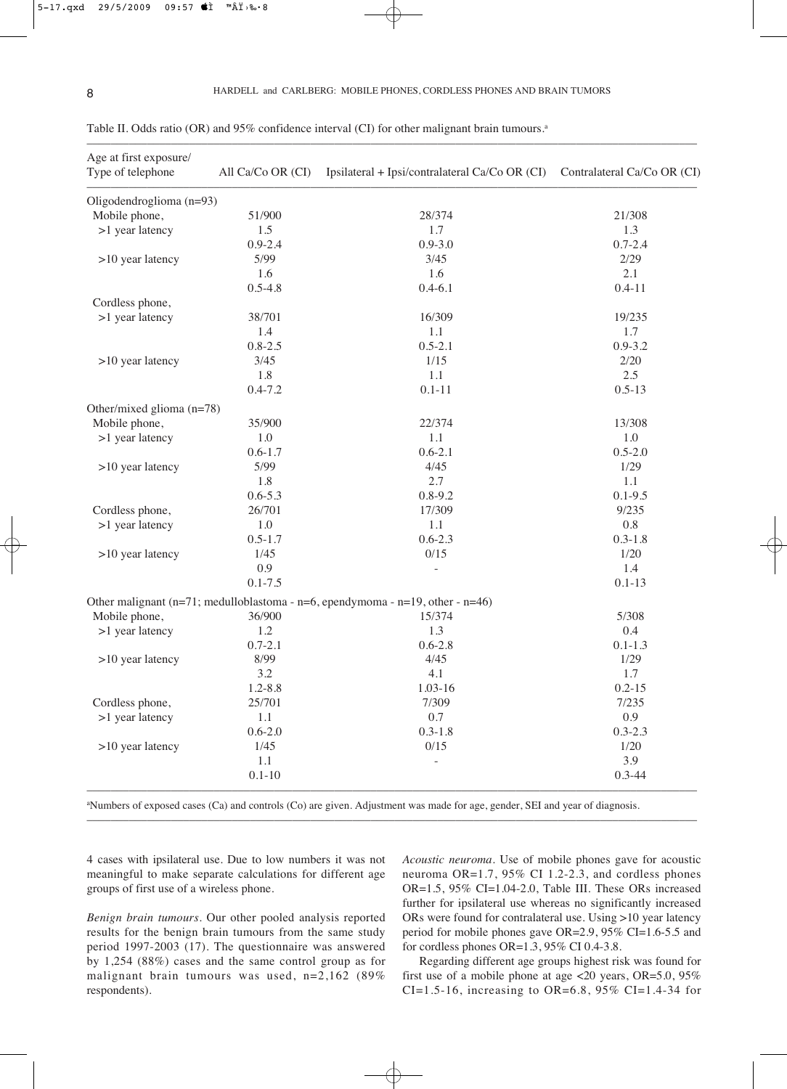| Age at first exposure/<br>Type of telephone<br>All Ca/Co OR (CI) |             | Ipsilateral + Ipsi/contralateral Ca/Co OR (CI)                                 | Contralateral Ca/Co OR (CI) |  |
|------------------------------------------------------------------|-------------|--------------------------------------------------------------------------------|-----------------------------|--|
| Oligodendroglioma (n=93)                                         |             |                                                                                |                             |  |
| Mobile phone,                                                    | 51/900      | 28/374                                                                         | 21/308                      |  |
| >1 year latency                                                  | 1.5         | 1.7                                                                            | 1.3                         |  |
|                                                                  | $0.9 - 2.4$ | $0.9 - 3.0$                                                                    | $0.7 - 2.4$                 |  |
| >10 year latency                                                 | 5/99        | 3/45                                                                           | 2/29                        |  |
|                                                                  | 1.6         | 1.6                                                                            | 2.1                         |  |
|                                                                  | $0.5 - 4.8$ | $0.4 - 6.1$                                                                    | $0.4 - 11$                  |  |
| Cordless phone,                                                  |             |                                                                                |                             |  |
| >1 year latency                                                  | 38/701      | 16/309                                                                         | 19/235                      |  |
|                                                                  | 1.4         | 1.1                                                                            | 1.7                         |  |
|                                                                  | $0.8 - 2.5$ | $0.5 - 2.1$                                                                    | $0.9 - 3.2$                 |  |
| >10 year latency                                                 | 3/45        | 1/15                                                                           | 2/20                        |  |
|                                                                  | 1.8         | 1.1                                                                            | 2.5                         |  |
|                                                                  | $0.4 - 7.2$ | $0.1 - 11$                                                                     | $0.5 - 13$                  |  |
| Other/mixed glioma (n=78)                                        |             |                                                                                |                             |  |
| Mobile phone,                                                    | 35/900      | 22/374                                                                         | 13/308                      |  |
| >1 year latency                                                  | 1.0         | 1.1                                                                            | 1.0                         |  |
|                                                                  | $0.6 - 1.7$ | $0.6 - 2.1$                                                                    | $0.5 - 2.0$                 |  |
| >10 year latency                                                 | 5/99        | 4/45                                                                           | 1/29                        |  |
|                                                                  | 1.8         | 2.7                                                                            | 1.1                         |  |
|                                                                  | $0.6 - 5.3$ | $0.8 - 9.2$                                                                    | $0.1 - 9.5$                 |  |
| Cordless phone,                                                  | 26/701      | 17/309                                                                         | 9/235                       |  |
| >1 year latency                                                  | 1.0         | 1.1                                                                            | $0.8\,$                     |  |
|                                                                  | $0.5 - 1.7$ | $0.6 - 2.3$                                                                    | $0.3 - 1.8$                 |  |
| >10 year latency                                                 | 1/45        | 0/15                                                                           | 1/20                        |  |
|                                                                  | 0.9         | ÷,                                                                             | 1.4                         |  |
|                                                                  | $0.1 - 7.5$ |                                                                                | $0.1 - 13$                  |  |
|                                                                  |             | Other malignant (n=71; medulloblastoma - n=6, ependymoma - n=19, other - n=46) |                             |  |
| Mobile phone,                                                    | 36/900      | 15/374                                                                         | 5/308                       |  |
| >1 year latency                                                  | 1.2         | 1.3                                                                            | 0.4                         |  |
|                                                                  | $0.7 - 2.1$ | $0.6 - 2.8$                                                                    | $0.1 - 1.3$                 |  |
| >10 year latency                                                 | 8/99        | 4/45                                                                           | 1/29                        |  |
|                                                                  | 3.2         | 4.1                                                                            | 1.7                         |  |
|                                                                  | $1.2 - 8.8$ | 1.03-16                                                                        | $0.2 - 15$                  |  |
| Cordless phone,                                                  | 25/701      | 7/309                                                                          | 7/235                       |  |
| >1 year latency                                                  | 1.1         | 0.7                                                                            | 0.9                         |  |
|                                                                  | $0.6 - 2.0$ | $0.3 - 1.8$                                                                    | $0.3 - 2.3$                 |  |
| >10 year latency                                                 | 1/45        | 0/15                                                                           | $1/20$                      |  |
|                                                                  | 1.1         | ÷                                                                              | 3.9                         |  |
|                                                                  | $0.1 - 10$  |                                                                                | $0.3 - 44$                  |  |

Table II. Odds ratio (OR) and 95% confidence interval (CI) for other malignant brain tumours.<sup>a</sup>

a Numbers of exposed cases (Ca) and controls (Co) are given. Adjustment was made for age, gender, SEI and year of diagnosis.

–––––––––––––––––––––––––––––––––––––––––––––––––––––––––––––––––––––––––––––––––––––––––––––––––––––

4 cases with ipsilateral use. Due to low numbers it was not meaningful to make separate calculations for different age groups of first use of a wireless phone.

*Benign brain tumours*. Our other pooled analysis reported results for the benign brain tumours from the same study period 1997-2003 (17). The questionnaire was answered by 1,254 (88%) cases and the same control group as for malignant brain tumours was used, n=2,162 (89% respondents).

*Acoustic neuroma*. Use of mobile phones gave for acoustic neuroma OR=1.7, 95% CI 1.2-2.3, and cordless phones OR=1.5, 95% CI=1.04-2.0, Table III. These ORs increased further for ipsilateral use whereas no significantly increased ORs were found for contralateral use. Using >10 year latency period for mobile phones gave OR=2.9, 95% CI=1.6-5.5 and for cordless phones OR=1.3, 95% CI 0.4-3.8.

Regarding different age groups highest risk was found for first use of a mobile phone at age <20 years, OR=5.0, 95% CI=1.5-16, increasing to OR=6.8, 95% CI=1.4-34 for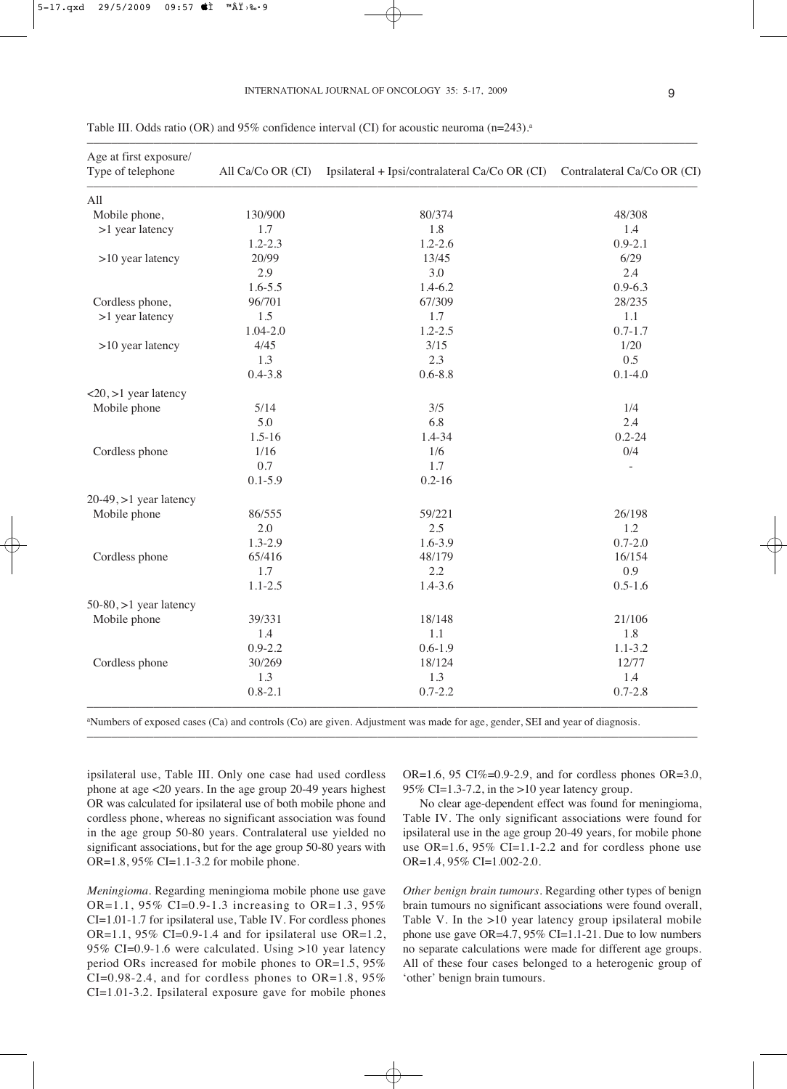| Age at first exposure/<br>Type of telephone | All Ca/Co OR (CI) | Ipsilateral + Ipsi/contralateral Ca/Co OR (CI) | Contralateral Ca/Co OR (CI) |
|---------------------------------------------|-------------------|------------------------------------------------|-----------------------------|
| All                                         |                   |                                                |                             |
| Mobile phone,                               | 130/900           | 80/374                                         | 48/308                      |
| >1 year latency                             | 1.7               | 1.8                                            | 1.4                         |
|                                             | $1.2 - 2.3$       | $1.2 - 2.6$                                    | $0.9 - 2.1$                 |
| >10 year latency                            | 20/99             | 13/45                                          | 6/29                        |
|                                             | 2.9               | 3.0                                            | 2.4                         |
|                                             | $1.6 - 5.5$       | $1.4 - 6.2$                                    | $0.9 - 6.3$                 |
| Cordless phone,                             | 96/701            | 67/309                                         | 28/235                      |
| >1 year latency                             | 1.5               | 1.7                                            | 1.1                         |
|                                             | $1.04 - 2.0$      | $1.2 - 2.5$                                    | $0.7 - 1.7$                 |
| >10 year latency                            | 4/45              | 3/15                                           | $1/20$                      |
|                                             | 1.3               | 2.3                                            | 0.5                         |
|                                             | $0.4 - 3.8$       | $0.6 - 8.8$                                    | $0.1 - 4.0$                 |
| $<$ 20, >1 year latency                     |                   |                                                |                             |
| Mobile phone                                | 5/14              | 3/5                                            | 1/4                         |
|                                             | 5.0               | 6.8                                            | 2.4                         |
|                                             | $1.5 - 16$        | 1.4-34                                         | $0.2 - 24$                  |
| Cordless phone                              | 1/16              | 1/6                                            | 0/4                         |
|                                             | 0.7               | 1.7                                            | ÷,                          |
|                                             | $0.1 - 5.9$       | $0.2 - 16$                                     |                             |
| $20-49$ , $>1$ year latency                 |                   |                                                |                             |
| Mobile phone                                | 86/555            | 59/221                                         | 26/198                      |
|                                             | 2.0               | 2.5                                            | 1.2                         |
|                                             | $1.3 - 2.9$       | $1.6 - 3.9$                                    | $0.7 - 2.0$                 |
| Cordless phone                              | 65/416            | 48/179                                         | 16/154                      |
|                                             | 1.7               | 2.2                                            | 0.9                         |
|                                             | $1.1 - 2.5$       | $1.4 - 3.6$                                    | $0.5 - 1.6$                 |
| $50-80$ , $>1$ year latency                 |                   |                                                |                             |
| Mobile phone                                | 39/331            | 18/148                                         | 21/106                      |
|                                             | 1.4               | 1.1                                            | 1.8                         |
|                                             | $0.9 - 2.2$       | $0.6 - 1.9$                                    | $1.1 - 3.2$                 |
| Cordless phone                              | 30/269            | 18/124                                         | 12/77                       |
|                                             | 1.3               | 1.3                                            | 1.4                         |
|                                             | $0.8 - 2.1$       | $0.7 - 2.2$                                    | $0.7 - 2.8$                 |

a Numbers of exposed cases (Ca) and controls (Co) are given. Adjustment was made for age, gender, SEI and year of diagnosis.

–––––––––––––––––––––––––––––––––––––––––––––––––––––––––––––––––––––––––––––––––––––––––––––––––––––

ipsilateral use, Table III. Only one case had used cordless phone at age <20 years. In the age group 20-49 years highest OR was calculated for ipsilateral use of both mobile phone and cordless phone, whereas no significant association was found in the age group 50-80 years. Contralateral use yielded no significant associations, but for the age group 50-80 years with OR=1.8, 95% CI=1.1-3.2 for mobile phone.

*Meningioma*. Regarding meningioma mobile phone use gave OR=1.1, 95% CI=0.9-1.3 increasing to OR=1.3, 95% CI=1.01-1.7 for ipsilateral use, Table IV. For cordless phones OR=1.1, 95% CI=0.9-1.4 and for ipsilateral use OR=1.2, 95% CI=0.9-1.6 were calculated. Using >10 year latency period ORs increased for mobile phones to OR=1.5, 95% CI=0.98-2.4, and for cordless phones to  $OR=1.8$ , 95% CI=1.01-3.2. Ipsilateral exposure gave for mobile phones OR=1.6, 95 CI%=0.9-2.9, and for cordless phones OR=3.0, 95% CI=1.3-7.2, in the >10 year latency group.

No clear age-dependent effect was found for meningioma, Table IV. The only significant associations were found for ipsilateral use in the age group 20-49 years, for mobile phone use OR=1.6, 95% CI=1.1-2.2 and for cordless phone use OR=1.4, 95% CI=1.002-2.0.

*Other benign brain tumours*. Regarding other types of benign brain tumours no significant associations were found overall, Table V. In the >10 year latency group ipsilateral mobile phone use gave OR=4.7, 95% CI=1.1-21. Due to low numbers no separate calculations were made for different age groups. All of these four cases belonged to a heterogenic group of 'other' benign brain tumours.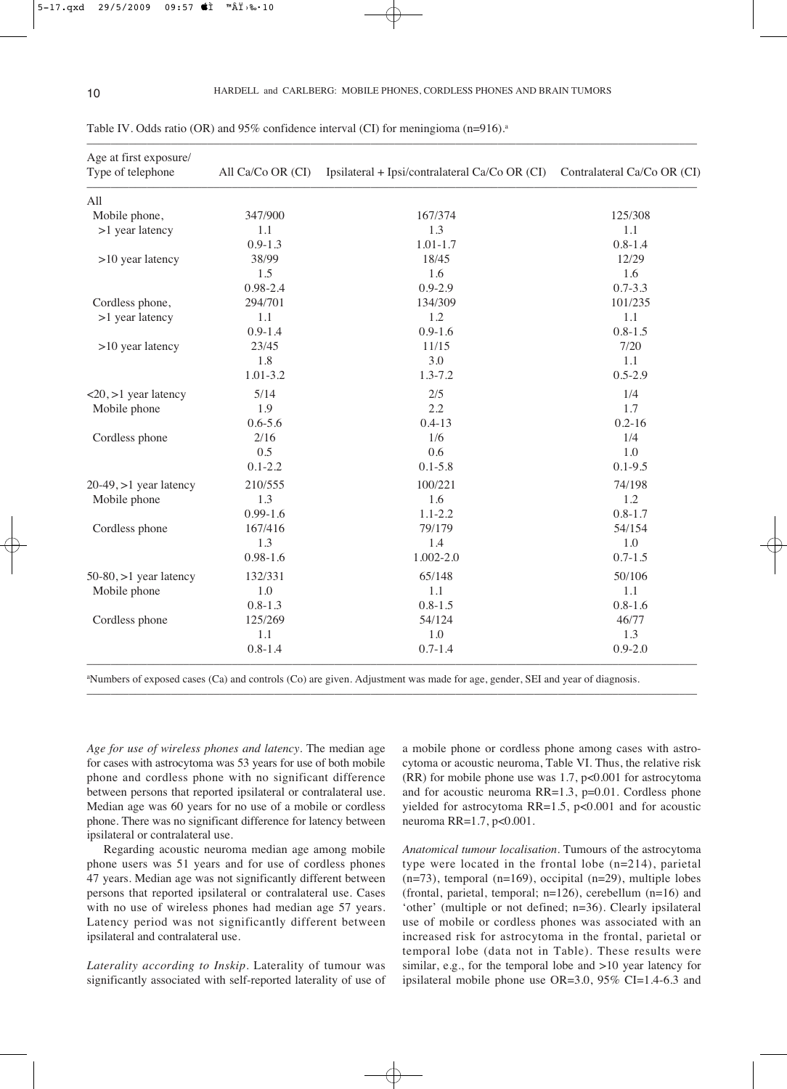| Age at first exposure/<br>Type of telephone | All Ca/Co OR (CI) | Ipsilateral + Ipsi/contralateral Ca/Co OR (CI) | Contralateral Ca/Co OR (CI) |  |
|---------------------------------------------|-------------------|------------------------------------------------|-----------------------------|--|
| All                                         |                   |                                                |                             |  |
| Mobile phone,                               | 347/900           | 167/374                                        | 125/308                     |  |
| >1 year latency                             | 1.1               | 1.3                                            | 1.1                         |  |
|                                             | $0.9 - 1.3$       | $1.01 - 1.7$                                   | $0.8 - 1.4$                 |  |
| >10 year latency                            | 38/99             | 18/45                                          | 12/29                       |  |
|                                             | 1.5               | 1.6                                            | 1.6                         |  |
|                                             | 0.98-2.4          | $0.9 - 2.9$                                    | $0.7 - 3.3$                 |  |
| Cordless phone,                             | 294/701           | 134/309                                        | 101/235                     |  |
| >1 year latency                             | 1.1               | 1.2                                            | 1.1                         |  |
|                                             | $0.9 - 1.4$       | $0.9 - 1.6$                                    | $0.8 - 1.5$                 |  |
| >10 year latency                            | 23/45             | 11/15                                          | 7/20                        |  |
|                                             | 1.8               | 3.0                                            | 1.1                         |  |
|                                             | 1.01-3.2          | $1.3 - 7.2$                                    | $0.5 - 2.9$                 |  |
| $<$ 20, $>$ 1 year latency                  | 5/14              | 2/5                                            | 1/4                         |  |
| Mobile phone                                | 1.9               | 2.2                                            | 1.7                         |  |
|                                             | $0.6 - 5.6$       | $0.4 - 13$                                     | $0.2 - 16$                  |  |
| Cordless phone                              | 2/16              | 1/6                                            | 1/4                         |  |
|                                             | 0.5               | 0.6                                            | 1.0                         |  |
|                                             | $0.1 - 2.2$       | $0.1 - 5.8$                                    | $0.1 - 9.5$                 |  |
| $20-49$ , $>1$ year latency                 | 210/555           | 100/221                                        | 74/198                      |  |
| Mobile phone                                | 1.3               | 1.6                                            | 1.2                         |  |
|                                             | $0.99 - 1.6$      | $1.1 - 2.2$                                    | $0.8 - 1.7$                 |  |
| Cordless phone                              | 167/416           | 79/179                                         | 54/154                      |  |
|                                             | 1.3               | 1.4                                            | 1.0                         |  |
|                                             | $0.98 - 1.6$      | $1.002 - 2.0$                                  | $0.7 - 1.5$                 |  |
| $50-80$ , $>1$ year latency                 | 132/331           | 65/148                                         | 50/106                      |  |
| Mobile phone                                | 1.0               | 1.1                                            | 1.1                         |  |
|                                             | $0.8 - 1.3$       | $0.8 - 1.5$                                    | $0.8 - 1.6$                 |  |
| Cordless phone                              | 125/269           | 54/124                                         | 46/77                       |  |
|                                             | 1.1               | 1.0                                            | 1.3                         |  |
|                                             | $0.8 - 1.4$       | $0.7 - 1.4$                                    | $0.9 - 2.0$                 |  |

Table IV. Odds ratio (OR) and 95% confidence interval (CI) for meningioma  $(n=916)$ .<sup>a</sup>

a Numbers of exposed cases (Ca) and controls (Co) are given. Adjustment was made for age, gender, SEI and year of diagnosis.

–––––––––––––––––––––––––––––––––––––––––––––––––––––––––––––––––––––––––––––––––––––––––––––––––––––

*Age for use of wireless phones and latency*. The median age for cases with astrocytoma was 53 years for use of both mobile phone and cordless phone with no significant difference between persons that reported ipsilateral or contralateral use. Median age was 60 years for no use of a mobile or cordless phone. There was no significant difference for latency between ipsilateral or contralateral use.

Regarding acoustic neuroma median age among mobile phone users was 51 years and for use of cordless phones 47 years. Median age was not significantly different between persons that reported ipsilateral or contralateral use. Cases with no use of wireless phones had median age 57 years. Latency period was not significantly different between ipsilateral and contralateral use.

*Laterality according to Inskip*. Laterality of tumour was significantly associated with self-reported laterality of use of a mobile phone or cordless phone among cases with astrocytoma or acoustic neuroma, Table VI. Thus, the relative risk (RR) for mobile phone use was  $1.7$ ,  $p<0.001$  for astrocytoma and for acoustic neuroma RR=1.3, p=0.01. Cordless phone yielded for astrocytoma RR=1.5, p<0.001 and for acoustic neuroma RR=1.7, p<0.001.

*Anatomical tumour localisation*. Tumours of the astrocytoma type were located in the frontal lobe (n=214), parietal  $(n=73)$ , temporal  $(n=169)$ , occipital  $(n=29)$ , multiple lobes (frontal, parietal, temporal; n=126), cerebellum (n=16) and 'other' (multiple or not defined; n=36). Clearly ipsilateral use of mobile or cordless phones was associated with an increased risk for astrocytoma in the frontal, parietal or temporal lobe (data not in Table). These results were similar, e.g., for the temporal lobe and >10 year latency for ipsilateral mobile phone use OR=3.0, 95% CI=1.4-6.3 and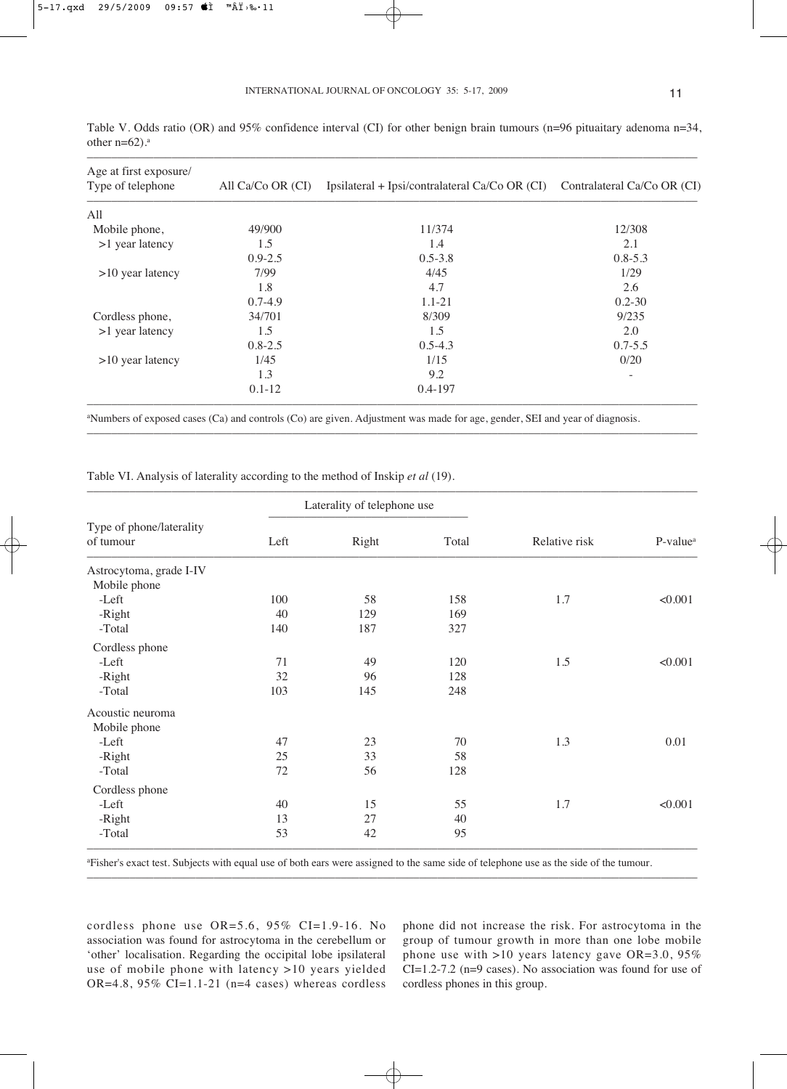| Age at first exposure/<br>Type of telephone | All Ca/Co OR (CI) | Ipsilateral + Ipsi/contralateral $Ca/Co$ OR $(CI)$ | Contralateral Ca/Co OR (CI) |
|---------------------------------------------|-------------------|----------------------------------------------------|-----------------------------|
| All                                         |                   |                                                    |                             |
| Mobile phone,                               | 49/900            | 11/374                                             | 12/308                      |
| >1 year latency                             | 1.5               | 1.4                                                | 2.1                         |
|                                             | $0.9 - 2.5$       | $0.5 - 3.8$                                        | $0.8 - 5.3$                 |
| $>10$ year latency                          | 7/99              | 4/45                                               | 1/29                        |
|                                             | 1.8               | 4.7                                                | 2.6                         |
|                                             | $0.7 - 4.9$       | $1.1 - 21$                                         | $0.2 - 30$                  |
| Cordless phone,                             | 34/701            | 8/309                                              | 9/235                       |
| >1 year latency                             | 1.5               | 1.5                                                | 2.0                         |
|                                             | $0.8 - 2.5$       | $0.5 - 4.3$                                        | $0.7 - 5.5$                 |
| $>10$ year latency                          | 1/45              | 1/15                                               | 0/20                        |
|                                             | 1.3               | 9.2                                                | ۰                           |
|                                             | $0.1 - 12$        | $0.4 - 197$                                        |                             |

–––––––––––––––––––––––––––––––––––––––––––––––––––––––––––––––––––––––––––––––––––––––––––––––––––––

Table V. Odds ratio (OR) and 95% confidence interval (CI) for other benign brain tumours (n=96 pituaitary adenoma n=34, other  $n=62$ ).<sup>a</sup>

a Numbers of exposed cases (Ca) and controls (Co) are given. Adjustment was made for age, gender, SEI and year of diagnosis.

Table VI. Analysis of laterality according to the method of Inskip *et al* (19).

|                                       |      | Laterality of telephone use |       |               |                      |
|---------------------------------------|------|-----------------------------|-------|---------------|----------------------|
| Type of phone/laterality<br>of tumour | Left | Right                       | Total | Relative risk | P-value <sup>a</sup> |
| Astrocytoma, grade I-IV               |      |                             |       |               |                      |
| Mobile phone                          |      |                             |       |               |                      |
| -Left                                 | 100  | 58                          | 158   | 1.7           | < 0.001              |
| -Right                                | 40   | 129                         | 169   |               |                      |
| -Total                                | 140  | 187                         | 327   |               |                      |
| Cordless phone                        |      |                             |       |               |                      |
| -Left                                 | 71   | 49                          | 120   | 1.5           | < 0.001              |
| -Right                                | 32   | 96                          | 128   |               |                      |
| -Total                                | 103  | 145                         | 248   |               |                      |
| Acoustic neuroma                      |      |                             |       |               |                      |
| Mobile phone                          |      |                             |       |               |                      |
| -Left                                 | 47   | 23                          | 70    | 1.3           | 0.01                 |
| -Right                                | 25   | 33                          | 58    |               |                      |
| -Total                                | 72   | 56                          | 128   |               |                      |
| Cordless phone                        |      |                             |       |               |                      |
| -Left                                 | 40   | 15                          | 55    | 1.7           | < 0.001              |
| -Right                                | 13   | 27                          | 40    |               |                      |
| -Total                                | 53   | 42                          | 95    |               |                      |

a Fisher's exact test. Subjects with equal use of both ears were assigned to the same side of telephone use as the side of the tumour.

–––––––––––––––––––––––––––––––––––––––––––––––––––––––––––––––––––––––––––––––––––––––––––––––––––––

cordless phone use OR=5.6, 95% CI=1.9-16. No association was found for astrocytoma in the cerebellum or 'other' localisation. Regarding the occipital lobe ipsilateral use of mobile phone with latency >10 years yielded OR=4.8,  $95\%$  CI=1.1-21 (n=4 cases) whereas cordless phone did not increase the risk. For astrocytoma in the group of tumour growth in more than one lobe mobile phone use with  $>10$  years latency gave OR=3.0, 95% CI=1.2-7.2 (n=9 cases). No association was found for use of cordless phones in this group.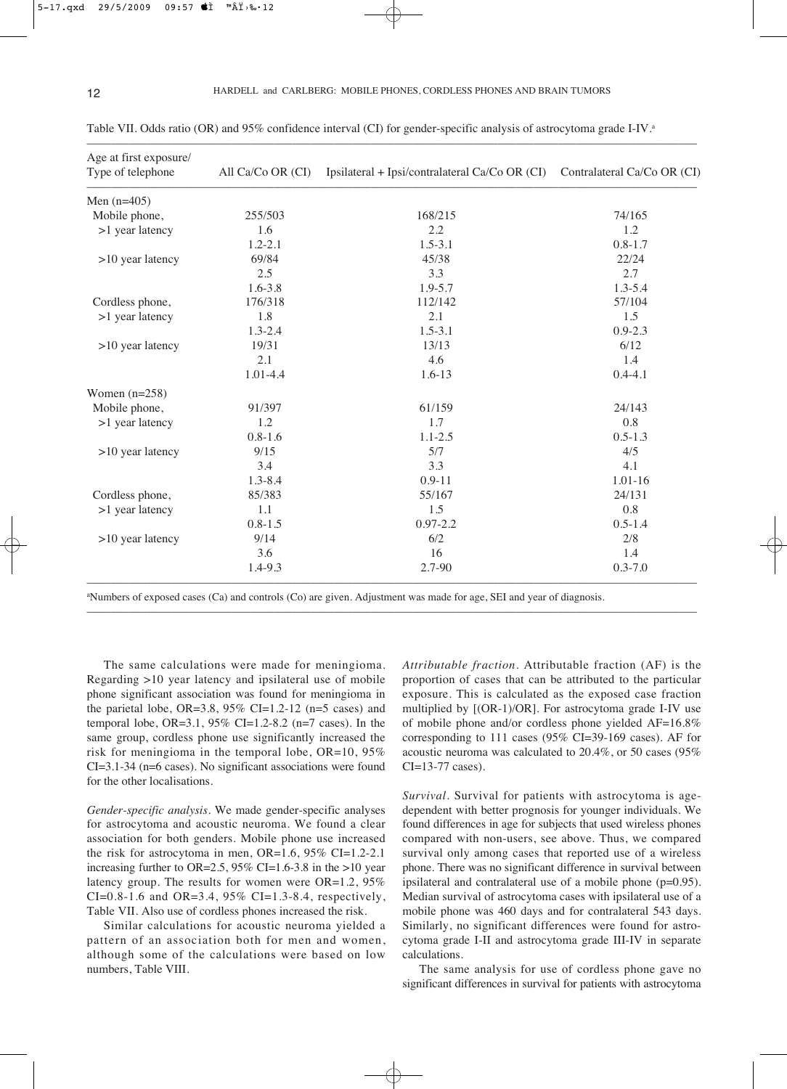| Age at first exposure/<br>Type of telephone<br>All Ca/Co OR (CI) |             | Ipsilateral + Ipsi/contralateral Ca/Co OR (CI) | Contralateral Ca/Co OR (CI) |  |
|------------------------------------------------------------------|-------------|------------------------------------------------|-----------------------------|--|
| Men $(n=405)$                                                    |             |                                                |                             |  |
| Mobile phone,                                                    | 255/503     | 168/215                                        | 74/165                      |  |
| >1 year latency                                                  | 1.6         | 2.2                                            | 1.2                         |  |
|                                                                  | $1.2 - 2.1$ | $1.5 - 3.1$                                    | $0.8 - 1.7$                 |  |
| >10 year latency                                                 | 69/84       | 45/38                                          | 22/24                       |  |
|                                                                  | 2.5         | 3.3                                            | 2.7                         |  |
|                                                                  | $1.6 - 3.8$ | $1.9 - 5.7$                                    | $1.3 - 5.4$                 |  |
| Cordless phone,                                                  | 176/318     | 112/142                                        | 57/104                      |  |
| >1 year latency                                                  | 1.8         | 2.1                                            | 1.5                         |  |
|                                                                  | $1.3 - 2.4$ | $1.5 - 3.1$                                    | $0.9 - 2.3$                 |  |
| >10 year latency                                                 | 19/31       | 13/13                                          | 6/12                        |  |
|                                                                  | 2.1         | 4.6                                            | 1.4                         |  |
|                                                                  | 1.01-4.4    | $1.6 - 13$                                     | $0.4 - 4.1$                 |  |
| Women $(n=258)$                                                  |             |                                                |                             |  |
| Mobile phone,                                                    | 91/397      | 61/159                                         | 24/143                      |  |
| >1 year latency                                                  | 1.2         | 1.7                                            | 0.8                         |  |
|                                                                  | $0.8 - 1.6$ | $1.1 - 2.5$                                    | $0.5 - 1.3$                 |  |
| >10 year latency                                                 | 9/15        | 5/7                                            | 4/5                         |  |
|                                                                  | 3.4         | 3.3                                            | 4.1                         |  |
|                                                                  | $1.3 - 8.4$ | $0.9 - 11$                                     | 1.01-16                     |  |
| Cordless phone,                                                  | 85/383      | 55/167                                         | 24/131                      |  |
| >1 year latency                                                  | 1.1         | 1.5                                            | 0.8                         |  |
|                                                                  | $0.8 - 1.5$ | $0.97 - 2.2$                                   | $0.5 - 1.4$                 |  |
| >10 year latency                                                 | 9/14        | 6/2                                            | 2/8                         |  |
|                                                                  | 3.6         | 16                                             | 1.4                         |  |
|                                                                  | 1.4-9.3     | 2.7-90                                         | $0.3 - 7.0$                 |  |

–––––––––––––––––––––––––––––––––––––––––––––––––––––––––––––––––––––––––––––––––––––––––––––––––––––

Table VII. Odds ratio (OR) and 95% confidence interval (CI) for gender-specific analysis of astrocytoma grade I-IV.<sup>a</sup>

–––––––––––––––––––––––––––––––––––––––––––––––––––––––––––––––––––––––––––––––––––––––––––––––––––––

a Numbers of exposed cases (Ca) and controls (Co) are given. Adjustment was made for age, SEI and year of diagnosis.

The same calculations were made for meningioma. Regarding >10 year latency and ipsilateral use of mobile phone significant association was found for meningioma in the parietal lobe, OR=3.8,  $95\%$  CI=1.2-12 (n=5 cases) and temporal lobe, OR=3.1, 95% CI=1.2-8.2 (n=7 cases). In the same group, cordless phone use significantly increased the risk for meningioma in the temporal lobe, OR=10, 95% CI=3.1-34 (n=6 cases). No significant associations were found for the other localisations.

*Gender-specific analysis*. We made gender-specific analyses for astrocytoma and acoustic neuroma. We found a clear association for both genders. Mobile phone use increased the risk for astrocytoma in men, OR=1.6, 95% CI=1.2-2.1 increasing further to OR=2.5, 95% CI=1.6-3.8 in the >10 year latency group. The results for women were OR=1.2, 95%  $CI=0.8-1.6$  and  $OR=3.4$ , 95%  $CI=1.3-8.4$ , respectively, Table VII. Also use of cordless phones increased the risk.

Similar calculations for acoustic neuroma yielded a pattern of an association both for men and women, although some of the calculations were based on low numbers, Table VIII.

*Attributable fraction*. Attributable fraction (AF) is the proportion of cases that can be attributed to the particular exposure. This is calculated as the exposed case fraction multiplied by [(OR-1)/OR]. For astrocytoma grade I-IV use of mobile phone and/or cordless phone yielded AF=16.8% corresponding to 111 cases (95% CI=39-169 cases). AF for acoustic neuroma was calculated to 20.4%, or 50 cases (95% CI=13-77 cases).

*Survival*. Survival for patients with astrocytoma is agedependent with better prognosis for younger individuals. We found differences in age for subjects that used wireless phones compared with non-users, see above. Thus, we compared survival only among cases that reported use of a wireless phone. There was no significant difference in survival between ipsilateral and contralateral use of a mobile phone (p=0.95). Median survival of astrocytoma cases with ipsilateral use of a mobile phone was 460 days and for contralateral 543 days. Similarly, no significant differences were found for astrocytoma grade I-II and astrocytoma grade III-IV in separate calculations.

The same analysis for use of cordless phone gave no significant differences in survival for patients with astrocytoma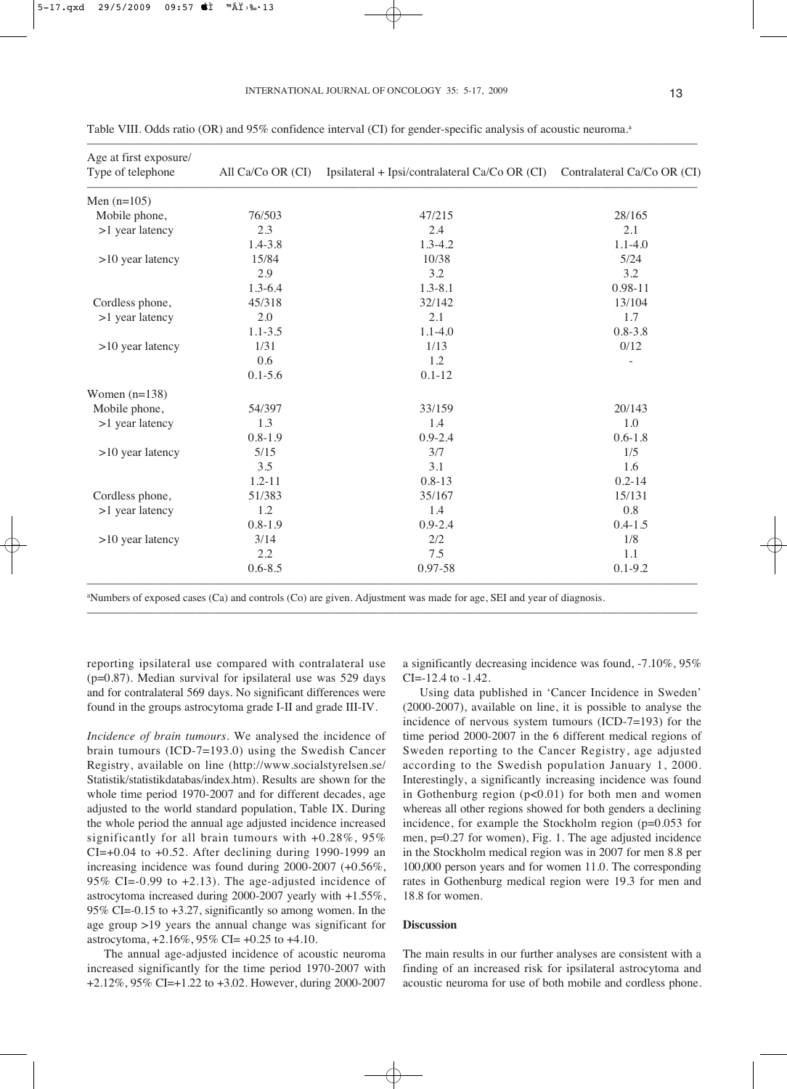| Age at first exposure/<br>Type of telephone<br>All Ca/Co OR (CI) |             | Ipsilateral + Ipsi/contralateral Ca/Co OR (CI) | Contralateral Ca/Co OR (CI) |  |
|------------------------------------------------------------------|-------------|------------------------------------------------|-----------------------------|--|
| Men $(n=105)$                                                    |             |                                                |                             |  |
| Mobile phone,                                                    | 76/503      | 47/215                                         | 28/165                      |  |
| >1 year latency                                                  | 2.3         | 2.4                                            | 2.1                         |  |
|                                                                  | $1.4 - 3.8$ | $1.3 - 4.2$                                    | $1.1 - 4.0$                 |  |
| >10 year latency                                                 | 15/84       | 10/38                                          | $5/24$                      |  |
|                                                                  | 2.9         | 3.2                                            | 3.2                         |  |
|                                                                  | $1.3 - 6.4$ | $1.3 - 8.1$                                    | $0.98 - 11$                 |  |
| Cordless phone,                                                  | 45/318      | 32/142                                         | 13/104                      |  |
| >1 year latency                                                  | 2.0         | 2.1                                            | 1.7                         |  |
|                                                                  | $1.1 - 3.5$ | $1.1 - 4.0$                                    | $0.8 - 3.8$                 |  |
| $>10$ year latency                                               | 1/31        | 1/13                                           | 0/12                        |  |
|                                                                  | 0.6         | 1.2                                            |                             |  |
|                                                                  | $0.1 - 5.6$ | $0.1 - 12$                                     |                             |  |
| Women $(n=138)$                                                  |             |                                                |                             |  |
| Mobile phone,                                                    | 54/397      | 33/159                                         | 20/143                      |  |
| >1 year latency                                                  | 1.3         | 1.4                                            | 1.0                         |  |
|                                                                  | $0.8 - 1.9$ | $0.9 - 2.4$                                    | $0.6 - 1.8$                 |  |
| $>10$ year latency                                               | 5/15        | 3/7                                            | 1/5                         |  |
|                                                                  | 3.5         | 3.1                                            | 1.6                         |  |
|                                                                  | $1.2 - 11$  | $0.8 - 13$                                     | $0.2 - 14$                  |  |
| Cordless phone,                                                  | 51/383      | 35/167                                         | 15/131                      |  |
| >1 year latency                                                  | 1.2         | 1.4                                            | 0.8                         |  |
|                                                                  | $0.8 - 1.9$ | $0.9 - 2.4$                                    | $0.4 - 1.5$                 |  |
| $>10$ year latency                                               | 3/14        | 2/2                                            | 1/8                         |  |
|                                                                  | 2.2         | 7.5                                            | 1.1                         |  |
|                                                                  | $0.6 - 8.5$ | 0.97-58                                        | $0.1 - 9.2$                 |  |

–––––––––––––––––––––––––––––––––––––––––––––––––––––––––––––––––––––––––––––––––––––––––––––––––––––

Table VIII. Odds ratio (OR) and 95% confidence interval (CI) for gender-specific analysis of acoustic neuroma.<sup>a</sup>

a Numbers of exposed cases (Ca) and controls (Co) are given. Adjustment was made for age, SEI and year of diagnosis.

reporting ipsilateral use compared with contralateral use (p=0.87). Median survival for ipsilateral use was 529 days and for contralateral 569 days. No significant differences were found in the groups astrocytoma grade I-II and grade III-IV.

*Incidence of brain tumours*. We analysed the incidence of brain tumours (ICD-7=193.0) using the Swedish Cancer Registry, available on line (http://www.socialstyrelsen.se/ Statistik/statistikdatabas/index.htm). Results are shown for the whole time period 1970-2007 and for different decades, age adjusted to the world standard population, Table IX. During the whole period the annual age adjusted incidence increased significantly for all brain tumours with +0.28%, 95%  $CI=+0.04$  to  $+0.52$ . After declining during 1990-1999 an increasing incidence was found during 2000-2007 (+0.56%, 95% CI=-0.99 to +2.13). The age-adjusted incidence of astrocytoma increased during 2000-2007 yearly with +1.55%, 95% CI=-0.15 to +3.27, significantly so among women. In the age group >19 years the annual change was significant for astrocytoma, +2.16%, 95% CI= +0.25 to +4.10.

The annual age-adjusted incidence of acoustic neuroma increased significantly for the time period 1970-2007 with +2.12%, 95% CI=+1.22 to +3.02. However, during 2000-2007 a significantly decreasing incidence was found, -7.10%, 95% CI=-12.4 to -1.42.

Using data published in 'Cancer Incidence in Sweden' (2000-2007), available on line, it is possible to analyse the incidence of nervous system tumours (ICD-7=193) for the time period 2000-2007 in the 6 different medical regions of Sweden reporting to the Cancer Registry, age adjusted according to the Swedish population January 1, 2000. Interestingly, a significantly increasing incidence was found in Gothenburg region  $(p<0.01)$  for both men and women whereas all other regions showed for both genders a declining incidence, for example the Stockholm region (p=0.053 for men, p=0.27 for women), Fig. 1. The age adjusted incidence in the Stockholm medical region was in 2007 for men 8.8 per 100,000 person years and for women 11.0. The corresponding rates in Gothenburg medical region were 19.3 for men and 18.8 for women.

# **Discussion**

The main results in our further analyses are consistent with a finding of an increased risk for ipsilateral astrocytoma and acoustic neuroma for use of both mobile and cordless phone.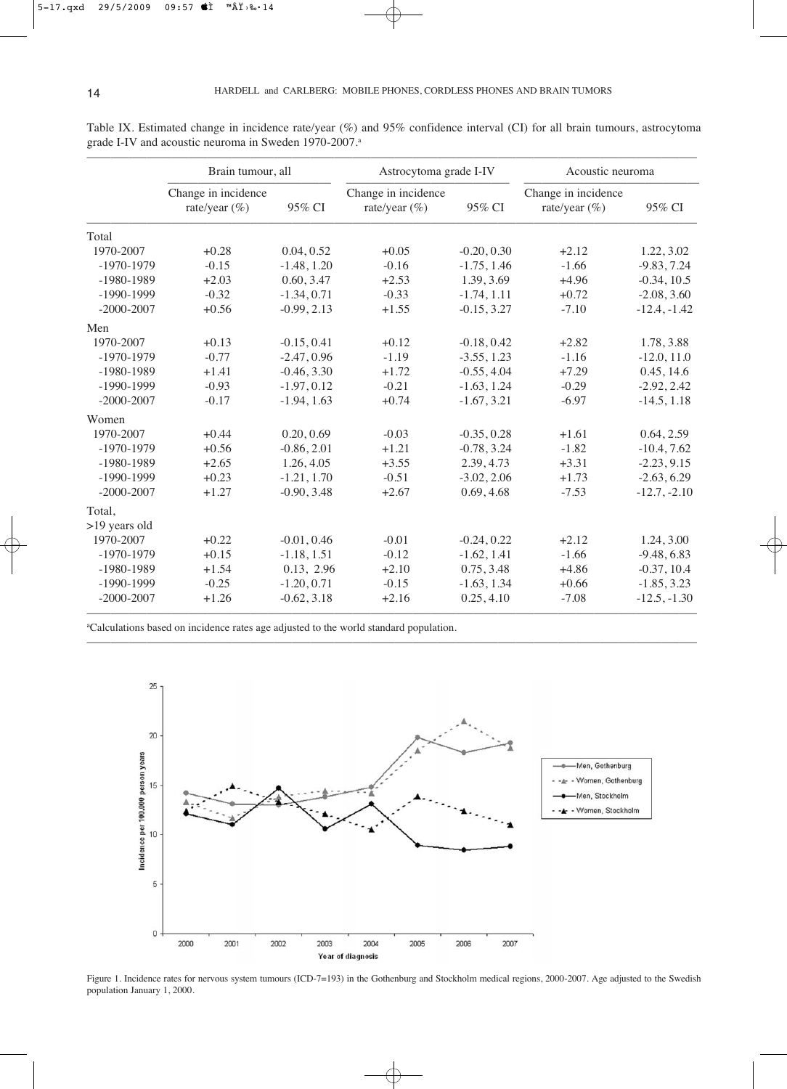|                | Brain tumour, all                        |               | Astrocytoma grade I-IV                  |               | Acoustic neuroma                         |                |
|----------------|------------------------------------------|---------------|-----------------------------------------|---------------|------------------------------------------|----------------|
|                | Change in incidence<br>rate/year $(\% )$ | 95% CI        | Change in incidence<br>rate/year $(\%)$ | 95% CI        | Change in incidence<br>rate/year $(\% )$ | 95% CI         |
| Total          |                                          |               |                                         |               |                                          |                |
| 1970-2007      | $+0.28$                                  | 0.04, 0.52    | $+0.05$                                 | $-0.20, 0.30$ | $+2.12$                                  | 1.22, 3.02     |
| $-1970-1979$   | $-0.15$                                  | $-1.48, 1.20$ | $-0.16$                                 | $-1.75, 1.46$ | $-1.66$                                  | $-9.83, 7.24$  |
| $-1980 - 1989$ | $+2.03$                                  | 0.60, 3.47    | $+2.53$                                 | 1.39, 3.69    | $+4.96$                                  | $-0.34, 10.5$  |
| $-1990-1999$   | $-0.32$                                  | $-1.34, 0.71$ | $-0.33$                                 | $-1.74, 1.11$ | $+0.72$                                  | $-2.08, 3.60$  |
| $-2000 - 2007$ | $+0.56$                                  | $-0.99, 2.13$ | $+1.55$                                 | $-0.15, 3.27$ | $-7.10$                                  | $-12.4, -1.42$ |
| Men            |                                          |               |                                         |               |                                          |                |
| 1970-2007      | $+0.13$                                  | $-0.15, 0.41$ | $+0.12$                                 | $-0.18, 0.42$ | $+2.82$                                  | 1.78, 3.88     |
| $-1970-1979$   | $-0.77$                                  | $-2.47, 0.96$ | $-1.19$                                 | $-3.55, 1.23$ | $-1.16$                                  | $-12.0, 11.0$  |
| $-1980 - 1989$ | $+1.41$                                  | $-0.46, 3.30$ | $+1.72$                                 | $-0.55, 4.04$ | $+7.29$                                  | 0.45, 14.6     |
| $-1990-1999$   | $-0.93$                                  | $-1.97, 0.12$ | $-0.21$                                 | $-1.63, 1.24$ | $-0.29$                                  | $-2.92, 2.42$  |
| $-2000 - 2007$ | $-0.17$                                  | $-1.94, 1.63$ | $+0.74$                                 | $-1.67, 3.21$ | $-6.97$                                  | $-14.5, 1.18$  |
| Women          |                                          |               |                                         |               |                                          |                |
| 1970-2007      | $+0.44$                                  | 0.20, 0.69    | $-0.03$                                 | $-0.35, 0.28$ | $+1.61$                                  | 0.64, 2.59     |
| $-1970-1979$   | $+0.56$                                  | $-0.86, 2.01$ | $+1.21$                                 | $-0.78, 3.24$ | $-1.82$                                  | $-10.4, 7.62$  |
| $-1980 - 1989$ | $+2.65$                                  | 1.26, 4.05    | $+3.55$                                 | 2.39, 4.73    | $+3.31$                                  | $-2.23, 9.15$  |
| $-1990-1999$   | $+0.23$                                  | $-1.21, 1.70$ | $-0.51$                                 | $-3.02, 2.06$ | $+1.73$                                  | $-2.63, 6.29$  |
| $-2000 - 2007$ | $+1.27$                                  | $-0.90, 3.48$ | $+2.67$                                 | 0.69, 4.68    | $-7.53$                                  | $-12.7, -2.10$ |
| Total,         |                                          |               |                                         |               |                                          |                |
| >19 years old  |                                          |               |                                         |               |                                          |                |
| 1970-2007      | $+0.22$                                  | $-0.01, 0.46$ | $-0.01$                                 | $-0.24, 0.22$ | $+2.12$                                  | 1.24, 3.00     |
| $-1970-1979$   | $+0.15$                                  | $-1.18, 1.51$ | $-0.12$                                 | $-1.62, 1.41$ | $-1.66$                                  | $-9.48, 6.83$  |
| $-1980 - 1989$ | $+1.54$                                  | 0.13, 2.96    | $+2.10$                                 | 0.75, 3.48    | $+4.86$                                  | $-0.37, 10.4$  |
| $-1990-1999$   | $-0.25$                                  | $-1.20, 0.71$ | $-0.15$                                 | $-1.63, 1.34$ | $+0.66$                                  | $-1.85, 3.23$  |
| $-2000 - 2007$ | $+1.26$                                  | $-0.62, 3.18$ | $+2.16$                                 | 0.25, 4.10    | $-7.08$                                  | $-12.5, -1.30$ |

Table IX. Estimated change in incidence rate/year (%) and 95% confidence interval (CI) for all brain tumours, astrocytoma grade I-IV and acoustic neuroma in Sweden 1970-2007.<sup>a</sup>

<sup>a</sup>Calculations based on incidence rates age adjusted to the world standard population.



–––––––––––––––––––––––––––––––––––––––––––––––––––––––––––––––––––––––––––––––––––––––––––––––––––––

Figure 1. Incidence rates for nervous system tumours (ICD-7=193) in the Gothenburg and Stockholm medical regions, 2000-2007. Age adjusted to the Swedish population January 1, 2000.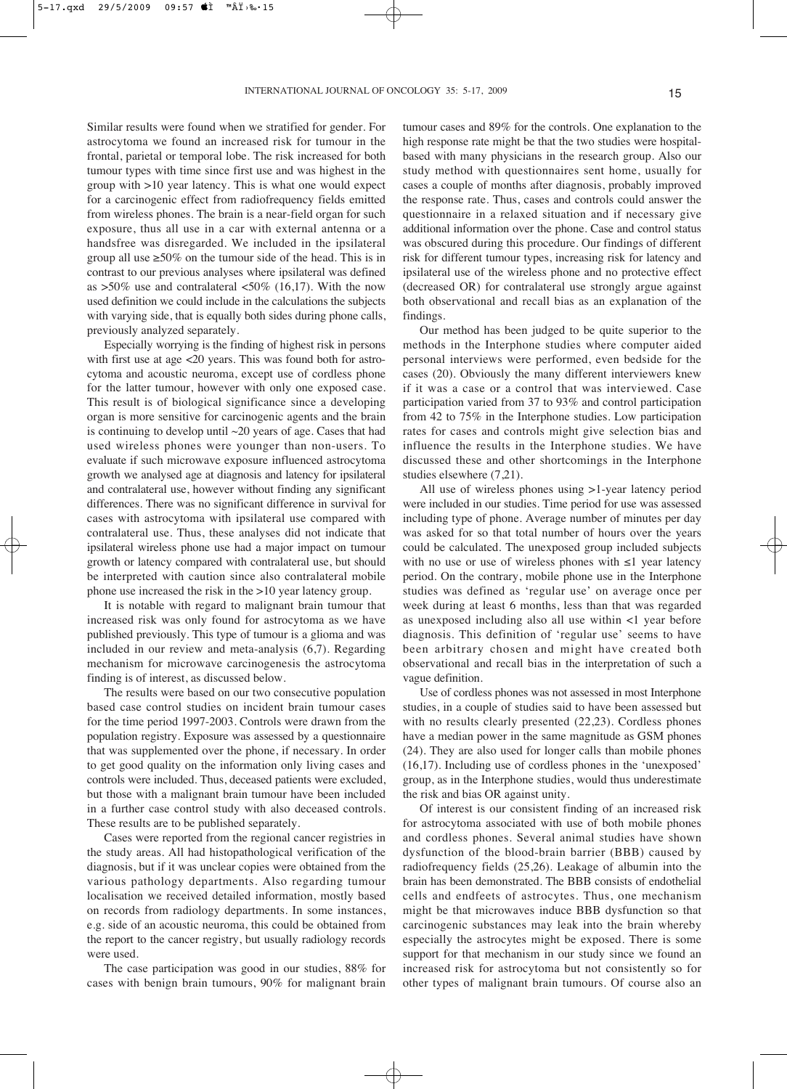Similar results were found when we stratified for gender. For astrocytoma we found an increased risk for tumour in the frontal, parietal or temporal lobe. The risk increased for both tumour types with time since first use and was highest in the group with >10 year latency. This is what one would expect for a carcinogenic effect from radiofrequency fields emitted from wireless phones. The brain is a near-field organ for such exposure, thus all use in a car with external antenna or a handsfree was disregarded. We included in the ipsilateral group all use  $\geq 50\%$  on the tumour side of the head. This is in contrast to our previous analyses where ipsilateral was defined as  $>50\%$  use and contralateral  $<50\%$  (16.17). With the now used definition we could include in the calculations the subjects with varying side, that is equally both sides during phone calls, previously analyzed separately.

Especially worrying is the finding of highest risk in persons with first use at age  $\langle 20 \rangle$  years. This was found both for astrocytoma and acoustic neuroma, except use of cordless phone for the latter tumour, however with only one exposed case. This result is of biological significance since a developing organ is more sensitive for carcinogenic agents and the brain is continuing to develop until  $\sim$ 20 years of age. Cases that had used wireless phones were younger than non-users. To evaluate if such microwave exposure influenced astrocytoma growth we analysed age at diagnosis and latency for ipsilateral and contralateral use, however without finding any significant differences. There was no significant difference in survival for cases with astrocytoma with ipsilateral use compared with contralateral use. Thus, these analyses did not indicate that ipsilateral wireless phone use had a major impact on tumour growth or latency compared with contralateral use, but should be interpreted with caution since also contralateral mobile phone use increased the risk in the >10 year latency group.

It is notable with regard to malignant brain tumour that increased risk was only found for astrocytoma as we have published previously. This type of tumour is a glioma and was included in our review and meta-analysis (6,7). Regarding mechanism for microwave carcinogenesis the astrocytoma finding is of interest, as discussed below.

The results were based on our two consecutive population based case control studies on incident brain tumour cases for the time period 1997-2003. Controls were drawn from the population registry. Exposure was assessed by a questionnaire that was supplemented over the phone, if necessary. In order to get good quality on the information only living cases and controls were included. Thus, deceased patients were excluded, but those with a malignant brain tumour have been included in a further case control study with also deceased controls. These results are to be published separately.

Cases were reported from the regional cancer registries in the study areas. All had histopathological verification of the diagnosis, but if it was unclear copies were obtained from the various pathology departments. Also regarding tumour localisation we received detailed information, mostly based on records from radiology departments. In some instances, e.g. side of an acoustic neuroma, this could be obtained from the report to the cancer registry, but usually radiology records were used.

The case participation was good in our studies, 88% for cases with benign brain tumours, 90% for malignant brain

tumour cases and 89% for the controls. One explanation to the high response rate might be that the two studies were hospitalbased with many physicians in the research group. Also our study method with questionnaires sent home, usually for cases a couple of months after diagnosis, probably improved the response rate. Thus, cases and controls could answer the questionnaire in a relaxed situation and if necessary give additional information over the phone. Case and control status was obscured during this procedure. Our findings of different risk for different tumour types, increasing risk for latency and ipsilateral use of the wireless phone and no protective effect (decreased OR) for contralateral use strongly argue against both observational and recall bias as an explanation of the findings.

Our method has been judged to be quite superior to the methods in the Interphone studies where computer aided personal interviews were performed, even bedside for the cases (20). Obviously the many different interviewers knew if it was a case or a control that was interviewed. Case participation varied from 37 to 93% and control participation from 42 to 75% in the Interphone studies. Low participation rates for cases and controls might give selection bias and influence the results in the Interphone studies. We have discussed these and other shortcomings in the Interphone studies elsewhere (7,21).

All use of wireless phones using >1-year latency period were included in our studies. Time period for use was assessed including type of phone. Average number of minutes per day was asked for so that total number of hours over the years could be calculated. The unexposed group included subjects with no use or use of wireless phones with ≤1 year latency period. On the contrary, mobile phone use in the Interphone studies was defined as 'regular use' on average once per week during at least 6 months, less than that was regarded as unexposed including also all use within <1 year before diagnosis. This definition of 'regular use' seems to have been arbitrary chosen and might have created both observational and recall bias in the interpretation of such a vague definition.

Use of cordless phones was not assessed in most Interphone studies, in a couple of studies said to have been assessed but with no results clearly presented (22,23). Cordless phones have a median power in the same magnitude as GSM phones (24). They are also used for longer calls than mobile phones (16,17). Including use of cordless phones in the 'unexposed' group, as in the Interphone studies, would thus underestimate the risk and bias OR against unity.

Of interest is our consistent finding of an increased risk for astrocytoma associated with use of both mobile phones and cordless phones. Several animal studies have shown dysfunction of the blood-brain barrier (BBB) caused by radiofrequency fields (25,26). Leakage of albumin into the brain has been demonstrated. The BBB consists of endothelial cells and endfeets of astrocytes. Thus, one mechanism might be that microwaves induce BBB dysfunction so that carcinogenic substances may leak into the brain whereby especially the astrocytes might be exposed. There is some support for that mechanism in our study since we found an increased risk for astrocytoma but not consistently so for other types of malignant brain tumours. Of course also an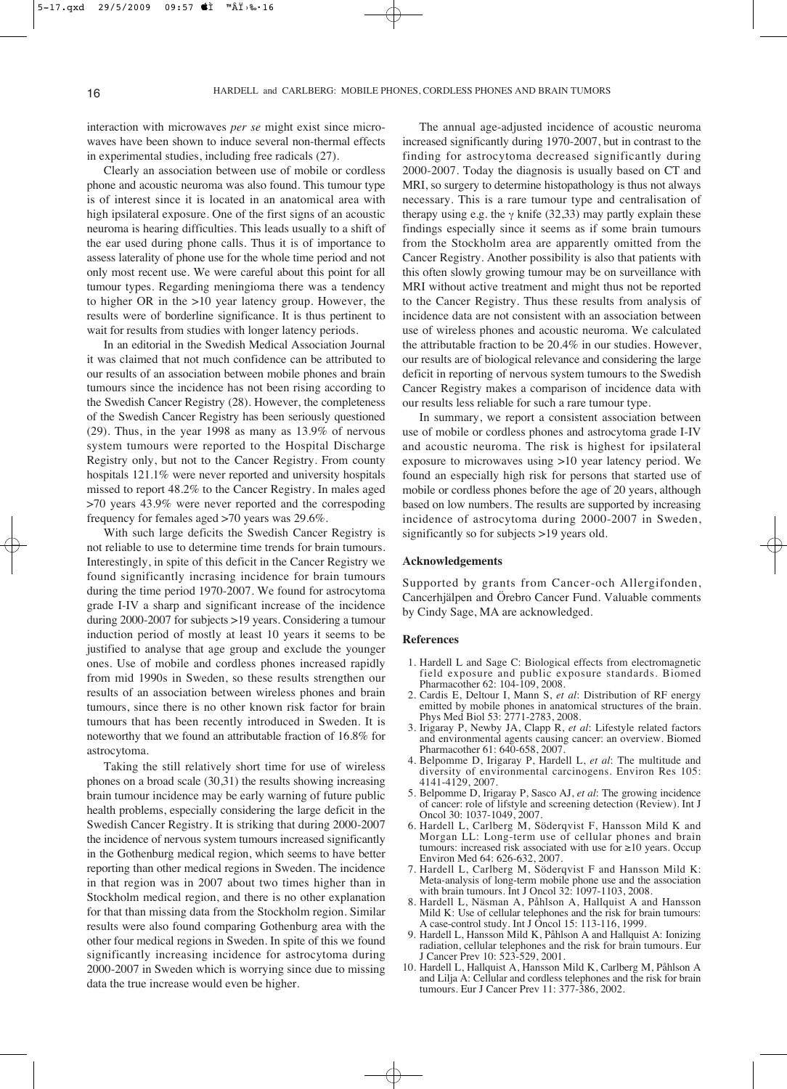interaction with microwaves *per se* might exist since microwaves have been shown to induce several non-thermal effects in experimental studies, including free radicals (27).

Clearly an association between use of mobile or cordless phone and acoustic neuroma was also found. This tumour type is of interest since it is located in an anatomical area with high ipsilateral exposure. One of the first signs of an acoustic neuroma is hearing difficulties. This leads usually to a shift of the ear used during phone calls. Thus it is of importance to assess laterality of phone use for the whole time period and not only most recent use. We were careful about this point for all tumour types. Regarding meningioma there was a tendency to higher OR in the >10 year latency group. However, the results were of borderline significance. It is thus pertinent to wait for results from studies with longer latency periods.

In an editorial in the Swedish Medical Association Journal it was claimed that not much confidence can be attributed to our results of an association between mobile phones and brain tumours since the incidence has not been rising according to the Swedish Cancer Registry (28). However, the completeness of the Swedish Cancer Registry has been seriously questioned (29). Thus, in the year 1998 as many as 13.9% of nervous system tumours were reported to the Hospital Discharge Registry only, but not to the Cancer Registry. From county hospitals 121.1% were never reported and university hospitals missed to report 48.2% to the Cancer Registry. In males aged >70 years 43.9% were never reported and the correspoding frequency for females aged >70 years was 29.6%.

With such large deficits the Swedish Cancer Registry is not reliable to use to determine time trends for brain tumours. Interestingly, in spite of this deficit in the Cancer Registry we found significantly incrasing incidence for brain tumours during the time period 1970-2007. We found for astrocytoma grade I-IV a sharp and significant increase of the incidence during 2000-2007 for subjects >19 years. Considering a tumour induction period of mostly at least 10 years it seems to be justified to analyse that age group and exclude the younger ones. Use of mobile and cordless phones increased rapidly from mid 1990s in Sweden, so these results strengthen our results of an association between wireless phones and brain tumours, since there is no other known risk factor for brain tumours that has been recently introduced in Sweden. It is noteworthy that we found an attributable fraction of 16.8% for astrocytoma.

Taking the still relatively short time for use of wireless phones on a broad scale (30,31) the results showing increasing brain tumour incidence may be early warning of future public health problems, especially considering the large deficit in the Swedish Cancer Registry. It is striking that during 2000-2007 the incidence of nervous system tumours increased significantly in the Gothenburg medical region, which seems to have better reporting than other medical regions in Sweden. The incidence in that region was in 2007 about two times higher than in Stockholm medical region, and there is no other explanation for that than missing data from the Stockholm region. Similar results were also found comparing Gothenburg area with the other four medical regions in Sweden. In spite of this we found significantly increasing incidence for astrocytoma during 2000-2007 in Sweden which is worrying since due to missing data the true increase would even be higher.

The annual age-adjusted incidence of acoustic neuroma increased significantly during 1970-2007, but in contrast to the finding for astrocytoma decreased significantly during 2000-2007. Today the diagnosis is usually based on CT and MRI, so surgery to determine histopathology is thus not always necessary. This is a rare tumour type and centralisation of therapy using e.g. the  $\gamma$  knife (32,33) may partly explain these findings especially since it seems as if some brain tumours from the Stockholm area are apparently omitted from the Cancer Registry. Another possibility is also that patients with this often slowly growing tumour may be on surveillance with MRI without active treatment and might thus not be reported to the Cancer Registry. Thus these results from analysis of incidence data are not consistent with an association between use of wireless phones and acoustic neuroma. We calculated the attributable fraction to be 20.4% in our studies. However, our results are of biological relevance and considering the large deficit in reporting of nervous system tumours to the Swedish Cancer Registry makes a comparison of incidence data with our results less reliable for such a rare tumour type.

In summary, we report a consistent association between use of mobile or cordless phones and astrocytoma grade I-IV and acoustic neuroma. The risk is highest for ipsilateral exposure to microwaves using >10 year latency period. We found an especially high risk for persons that started use of mobile or cordless phones before the age of 20 years, although based on low numbers. The results are supported by increasing incidence of astrocytoma during 2000-2007 in Sweden, significantly so for subjects >19 years old.

## **Acknowledgements**

Supported by grants from Cancer-och Allergifonden, Cancerhjälpen and Örebro Cancer Fund. Valuable comments by Cindy Sage, MA are acknowledged.

#### **References**

- 1. Hardell L and Sage C: Biological effects from electromagnetic field exposure and public exposure standards. Biomed Pharmacother 62: 104-109, 2008.
- 2. Cardis E, Deltour I, Mann S, *et al*: Distribution of RF energy emitted by mobile phones in anatomical structures of the brain. Phys Med Biol 53: 2771-2783, 2008.
- 3. Irigaray P, Newby JA, Clapp R, *et al*: Lifestyle related factors and environmental agents causing cancer: an overview. Biomed Pharmacother 61: 640-658, 2007.
- 4. Belpomme D, Irigaray P, Hardell L, *et al*: The multitude and diversity of environmental carcinogens. Environ Res 105: 4141-4129, 2007.
- 5. Belpomme D, Irigaray P, Sasco AJ, *et al*: The growing incidence of cancer: role of lifstyle and screening detection (Review). Int J Oncol 30: 1037-1049, 2007.
- 6. Hardell L, Carlberg M, Söderqvist F, Hansson Mild K and Morgan LL: Long-term use of cellular phones and brain tumours: increased risk associated with use for  $\geq 10$  years. Occup Environ Med 64: 626-632, 2007.
- 7. Hardell L, Carlberg M, Söderqvist F and Hansson Mild K: Meta-analysis of long-term mobile phone use and the association with brain tumours. Int J Oncol 32: 1097-1103, 2008.
- 8. Hardell L, Näsman A, Påhlson A, Hallquist A and Hansson Mild K: Use of cellular telephones and the risk for brain tumours: A case-control study. Int J Oncol 15: 113-116, 1999.
- 9. Hardell L, Hansson Mild K, Påhlson A and Hallquist A: Ionizing radiation, cellular telephones and the risk for brain tumours. Eur J Cancer Prev 10: 523-529, 2001.
- 10. Hardell L, Hallquist A, Hansson Mild K, Carlberg M, Påhlson A and Lilja A: Cellular and cordless telephones and the risk for brain tumours. Eur J Cancer Prev 11: 377-386, 2002.